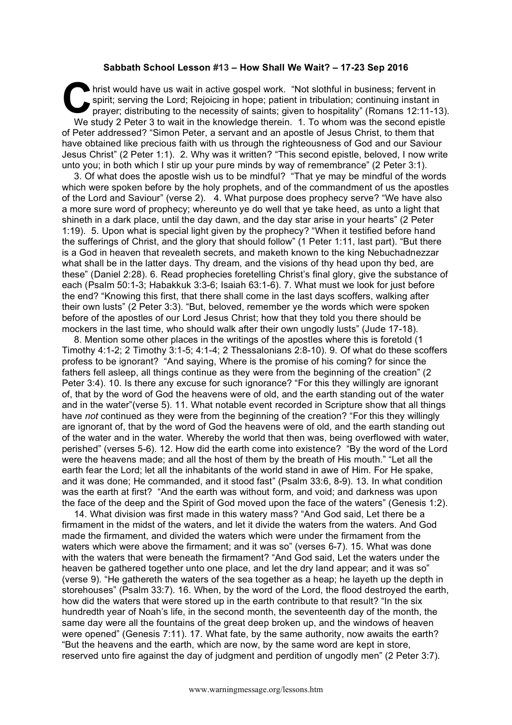## **Sabbath School Lesson #13 – How Shall We Wait? – 17-23 Sep 2016**

hrist would have us wait in active gospel work. "Not slothful in business; fervent in spirit; serving the Lord; Rejoicing in hope; patient in tribulation; continuing instant in prayer; distributing to the necessity of sain spirit; serving the Lord; Rejoicing in hope; patient in tribulation; continuing instant in prayer; distributing to the necessity of saints; given to hospitality" (Romans 12:11-13). We study 2 Peter 3 to wait in the knowledge therein. 1. To whom was the second epistle of Peter addressed? "Simon Peter, a servant and an apostle of Jesus Christ, to them that have obtained like precious faith with us through the righteousness of God and our Saviour Jesus Christ" (2 Peter 1:1). 2. Why was it written? "This second epistle, beloved, I now write unto you; in both which I stir up your pure minds by way of remembrance" (2 Peter 3:1).

3. Of what does the apostle wish us to be mindful? "That ye may be mindful of the words which were spoken before by the holy prophets, and of the commandment of us the apostles of the Lord and Saviour" (verse 2). 4. What purpose does prophecy serve? "We have also a more sure word of prophecy; whereunto ye do well that ye take heed, as unto a light that shineth in a dark place, until the day dawn, and the day star arise in your hearts" (2 Peter 1:19). 5. Upon what is special light given by the prophecy? "When it testified before hand the sufferings of Christ, and the glory that should follow" (1 Peter 1:11, last part). "But there is a God in heaven that revealeth secrets, and maketh known to the king Nebuchadnezzar what shall be in the latter days. Thy dream, and the visions of thy head upon thy bed, are these" (Daniel 2:28). 6. Read prophecies foretelling Christ's final glory, give the substance of each (Psalm 50:1-3; Habakkuk 3:3-6; Isaiah 63:1-6). 7. What must we look for just before the end? "Knowing this first, that there shall come in the last days scoffers, walking after their own lusts" (2 Peter 3:3). "But, beloved, remember ye the words which were spoken before of the apostles of our Lord Jesus Christ; how that they told you there should be mockers in the last time, who should walk after their own ungodly lusts" (Jude 17-18).

8. Mention some other places in the writings of the apostles where this is foretold (1 Timothy 4:1-2; 2 Timothy 3:1-5; 4:1-4; 2 Thessalonians 2:8-10). 9. Of what do these scoffers profess to be ignorant? "And saying, Where is the promise of his coming? for since the fathers fell asleep, all things continue as they were from the beginning of the creation" (2 Peter 3:4). 10. Is there any excuse for such ignorance? "For this they willingly are ignorant of, that by the word of God the heavens were of old, and the earth standing out of the water and in the water"(verse 5). 11. What notable event recorded in Scripture show that all things have *not* continued as they were from the beginning of the creation? "For this they willingly are ignorant of, that by the word of God the heavens were of old, and the earth standing out of the water and in the water. Whereby the world that then was, being overflowed with water, perished" (verses 5-6). 12. How did the earth come into existence? "By the word of the Lord were the heavens made; and all the host of them by the breath of His mouth." "Let all the earth fear the Lord; let all the inhabitants of the world stand in awe of Him. For He spake, and it was done; He commanded, and it stood fast" (Psalm 33:6, 8-9). 13. In what condition was the earth at first? "And the earth was without form, and void; and darkness was upon the face of the deep and the Spirit of God moved upon the face of the waters" (Genesis 1:2).

14. What division was first made in this watery mass? "And God said, Let there be a firmament in the midst of the waters, and let it divide the waters from the waters. And God made the firmament, and divided the waters which were under the firmament from the waters which were above the firmament; and it was so" (verses 6-7). 15. What was done with the waters that were beneath the firmament? "And God said, Let the waters under the heaven be gathered together unto one place, and let the dry land appear; and it was so" (verse 9). "He gathereth the waters of the sea together as a heap; he layeth up the depth in storehouses" (Psalm 33:7). 16. When, by the word of the Lord, the flood destroyed the earth, how did the waters that were stored up in the earth contribute to that result? "In the six hundredth year of Noah's life, in the second month, the seventeenth day of the month, the same day were all the fountains of the great deep broken up, and the windows of heaven were opened" (Genesis 7:11). 17. What fate, by the same authority, now awaits the earth? "But the heavens and the earth, which are now, by the same word are kept in store, reserved unto fire against the day of judgment and perdition of ungodly men" (2 Peter 3:7).